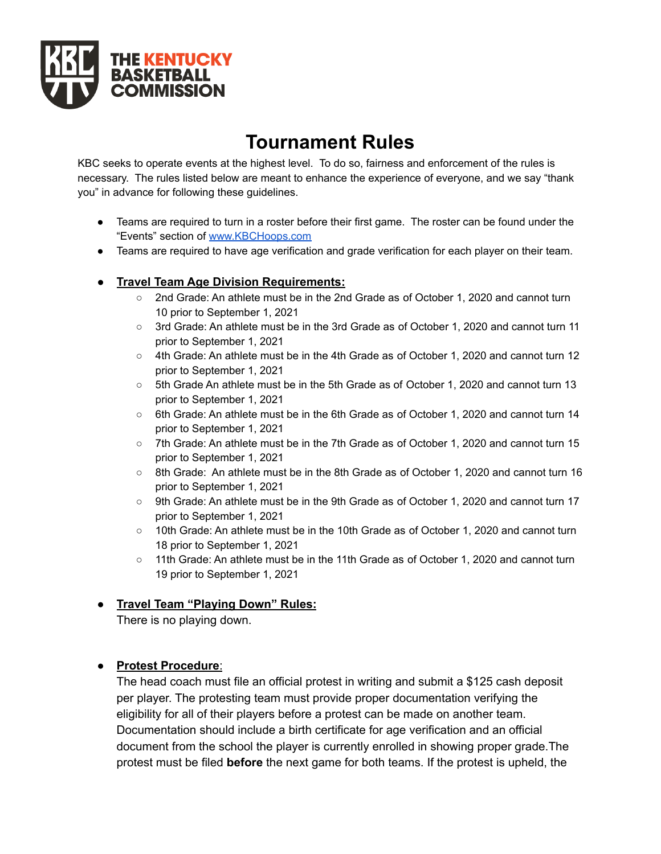

# **Tournament Rules**

KBC seeks to operate events at the highest level. To do so, fairness and enforcement of the rules is necessary. The rules listed below are meant to enhance the experience of everyone, and we say "thank you" in advance for following these guidelines.

- Teams are required to turn in a roster before their first game. The roster can be found under the "Events" section of [www.KBCHoops.com](http://www.kbchoops.com)
- Teams are required to have age verification and grade verification for each player on their team.

### **● Travel Team Age Division Requirements:**

- 2nd Grade: An athlete must be in the 2nd Grade as of October 1, 2020 and cannot turn 10 prior to September 1, 2021
- 3rd Grade: An athlete must be in the 3rd Grade as of October 1, 2020 and cannot turn 11 prior to September 1, 2021
- 4th Grade: An athlete must be in the 4th Grade as of October 1, 2020 and cannot turn 12 prior to September 1, 2021
- 5th Grade An athlete must be in the 5th Grade as of October 1, 2020 and cannot turn 13 prior to September 1, 2021
- 6th Grade: An athlete must be in the 6th Grade as of October 1, 2020 and cannot turn 14 prior to September 1, 2021
- 7th Grade: An athlete must be in the 7th Grade as of October 1, 2020 and cannot turn 15 prior to September 1, 2021
- 8th Grade: An athlete must be in the 8th Grade as of October 1, 2020 and cannot turn 16 prior to September 1, 2021
- 9th Grade: An athlete must be in the 9th Grade as of October 1, 2020 and cannot turn 17 prior to September 1, 2021
- 10th Grade: An athlete must be in the 10th Grade as of October 1, 2020 and cannot turn 18 prior to September 1, 2021
- 11th Grade: An athlete must be in the 11th Grade as of October 1, 2020 and cannot turn 19 prior to September 1, 2021

# **● Travel Team "Playing Down" Rules:**

There is no playing down.

# ● **Protest Procedure**:

The head coach must file an official protest in writing and submit a \$125 cash deposit per player. The protesting team must provide proper documentation verifying the eligibility for all of their players before a protest can be made on another team. Documentation should include a birth certificate for age verification and an official document from the school the player is currently enrolled in showing proper grade.The protest must be filed **before** the next game for both teams. If the protest is upheld, the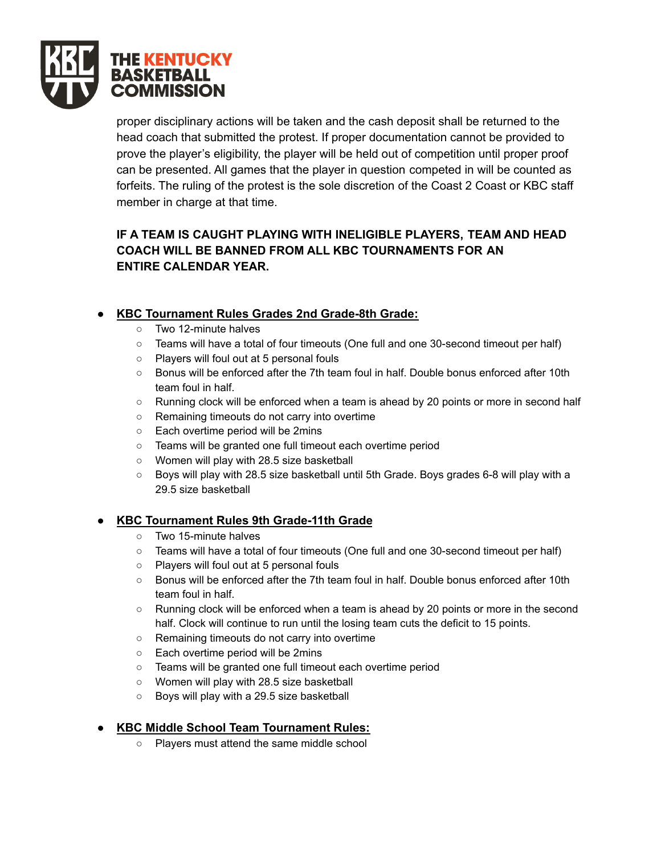

proper disciplinary actions will be taken and the cash deposit shall be returned to the head coach that submitted the protest. If proper documentation cannot be provided to prove the player's eligibility, the player will be held out of competition until proper proof can be presented. All games that the player in question competed in will be counted as forfeits. The ruling of the protest is the sole discretion of the Coast 2 Coast or KBC staff member in charge at that time.

# **IF A TEAM IS CAUGHT PLAYING WITH INELIGIBLE PLAYERS, TEAM AND HEAD COACH WILL BE BANNED FROM ALL KBC TOURNAMENTS FOR AN ENTIRE CALENDAR YEAR.**

# **● KBC Tournament Rules Grades 2nd Grade-8th Grade:**

- Two 12-minute halves
- Teams will have a total of four timeouts (One full and one 30-second timeout per half)
- Players will foul out at 5 personal fouls
- Bonus will be enforced after the 7th team foul in half. Double bonus enforced after 10th team foul in half.
- Running clock will be enforced when a team is ahead by 20 points or more in second half
- Remaining timeouts do not carry into overtime
- Each overtime period will be 2mins
- Teams will be granted one full timeout each overtime period
- Women will play with 28.5 size basketball
- Boys will play with 28.5 size basketball until 5th Grade. Boys grades 6-8 will play with a 29.5 size basketball

# **● KBC Tournament Rules 9th Grade-11th Grade**

- Two 15-minute halves
- Teams will have a total of four timeouts (One full and one 30-second timeout per half)
- Players will foul out at 5 personal fouls
- Bonus will be enforced after the 7th team foul in half. Double bonus enforced after 10th team foul in half.
- Running clock will be enforced when a team is ahead by 20 points or more in the second half. Clock will continue to run until the losing team cuts the deficit to 15 points.
- Remaining timeouts do not carry into overtime
- Each overtime period will be 2mins
- Teams will be granted one full timeout each overtime period
- Women will play with 28.5 size basketball
- Boys will play with a 29.5 size basketball

# **● KBC Middle School Team Tournament Rules:**

○ Players must attend the same middle school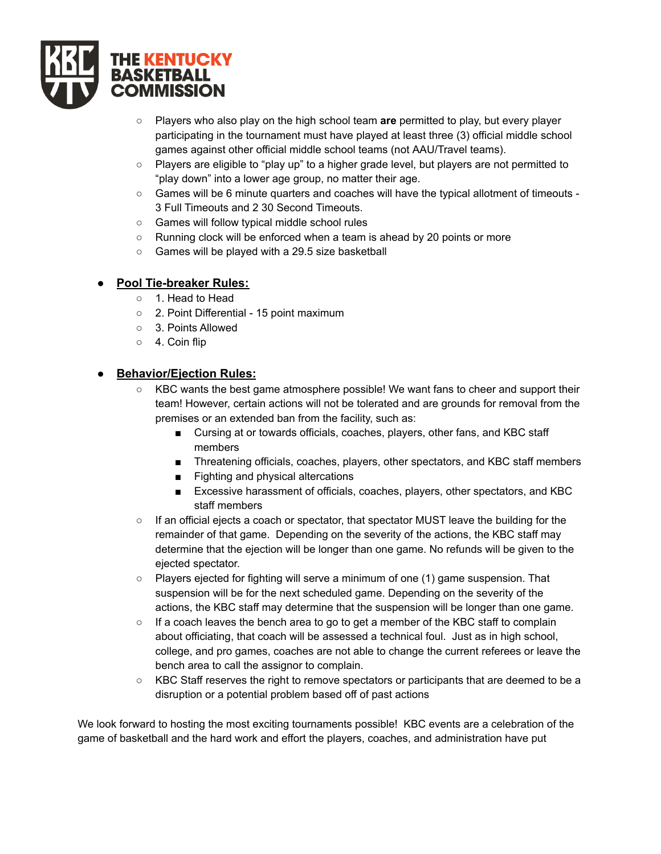

- Players who also play on the high school team **are** permitted to play, but every player participating in the tournament must have played at least three (3) official middle school games against other official middle school teams (not AAU/Travel teams).
- Players are eligible to "play up" to a higher grade level, but players are not permitted to "play down" into a lower age group, no matter their age.
- Games will be 6 minute quarters and coaches will have the typical allotment of timeouts 3 Full Timeouts and 2 30 Second Timeouts.
- Games will follow typical middle school rules
- Running clock will be enforced when a team is ahead by 20 points or more
- Games will be played with a 29.5 size basketball

#### **● Pool Tie-breaker Rules:**

- 1. Head to Head
- 2. Point Differential 15 point maximum
- 3. Points Allowed
- 4. Coin flip

#### **● Behavior/Ejection Rules:**

- KBC wants the best game atmosphere possible! We want fans to cheer and support their team! However, certain actions will not be tolerated and are grounds for removal from the premises or an extended ban from the facility, such as:
	- Cursing at or towards officials, coaches, players, other fans, and KBC staff members
	- Threatening officials, coaches, players, other spectators, and KBC staff members
	- Fighting and physical altercations
	- Excessive harassment of officials, coaches, players, other spectators, and KBC staff members
- If an official ejects a coach or spectator, that spectator MUST leave the building for the remainder of that game. Depending on the severity of the actions, the KBC staff may determine that the ejection will be longer than one game. No refunds will be given to the ejected spectator.
- Players ejected for fighting will serve a minimum of one (1) game suspension. That suspension will be for the next scheduled game. Depending on the severity of the actions, the KBC staff may determine that the suspension will be longer than one game.
- If a coach leaves the bench area to go to get a member of the KBC staff to complain about officiating, that coach will be assessed a technical foul. Just as in high school, college, and pro games, coaches are not able to change the current referees or leave the bench area to call the assignor to complain.
- KBC Staff reserves the right to remove spectators or participants that are deemed to be a disruption or a potential problem based off of past actions

We look forward to hosting the most exciting tournaments possible! KBC events are a celebration of the game of basketball and the hard work and effort the players, coaches, and administration have put